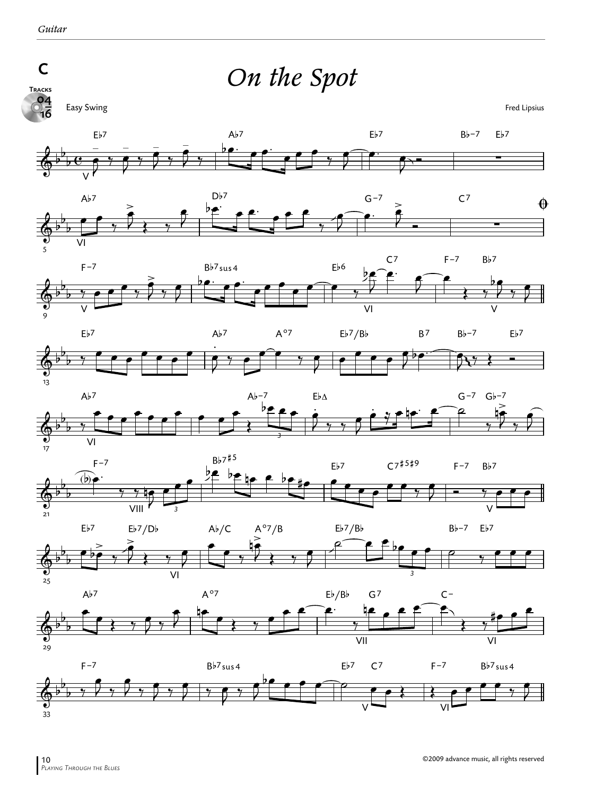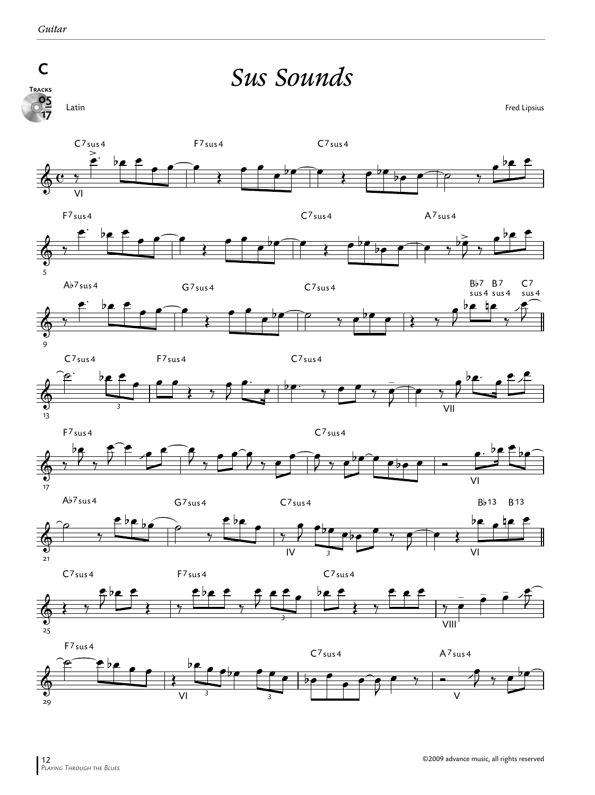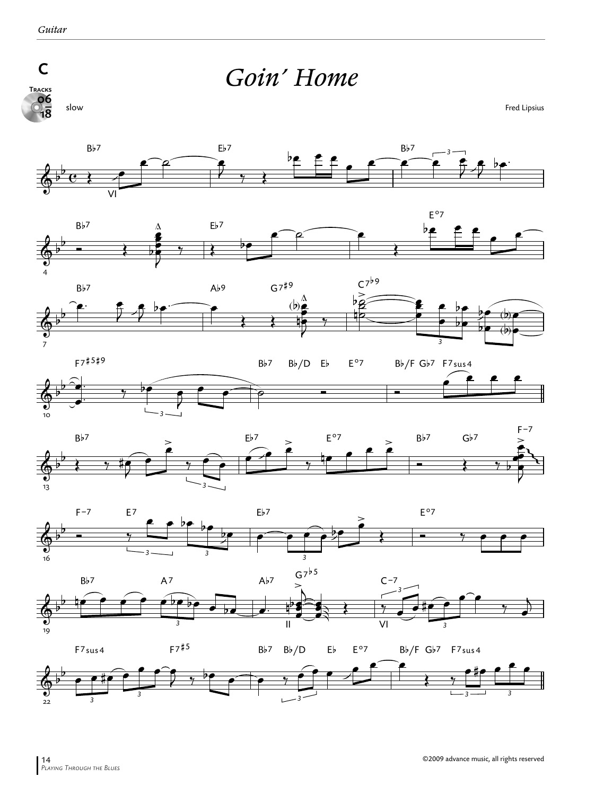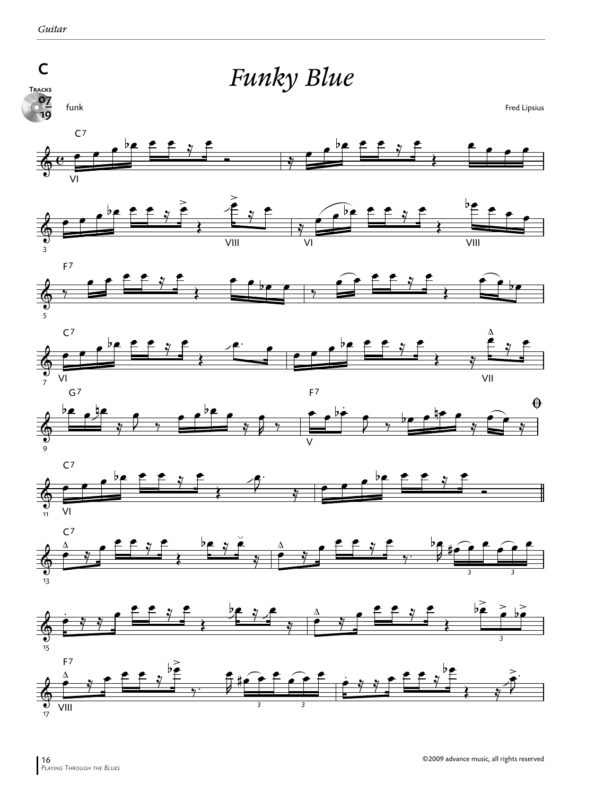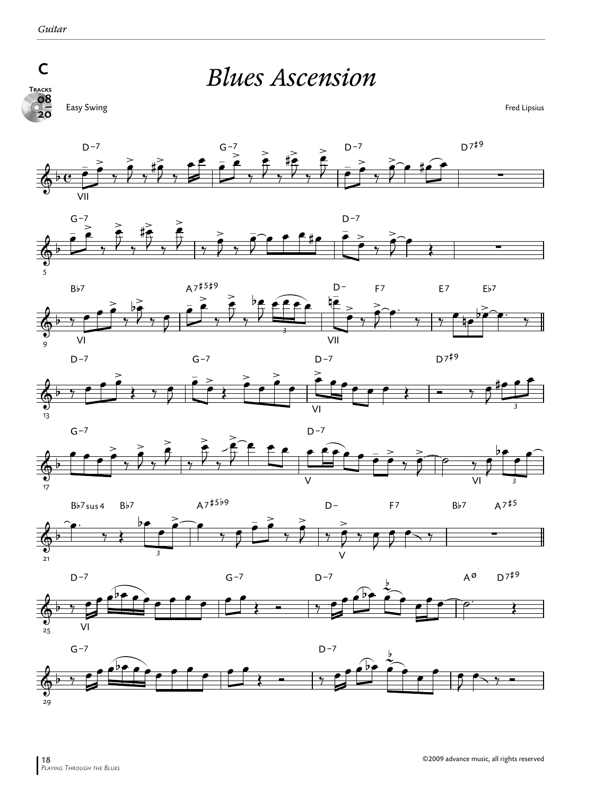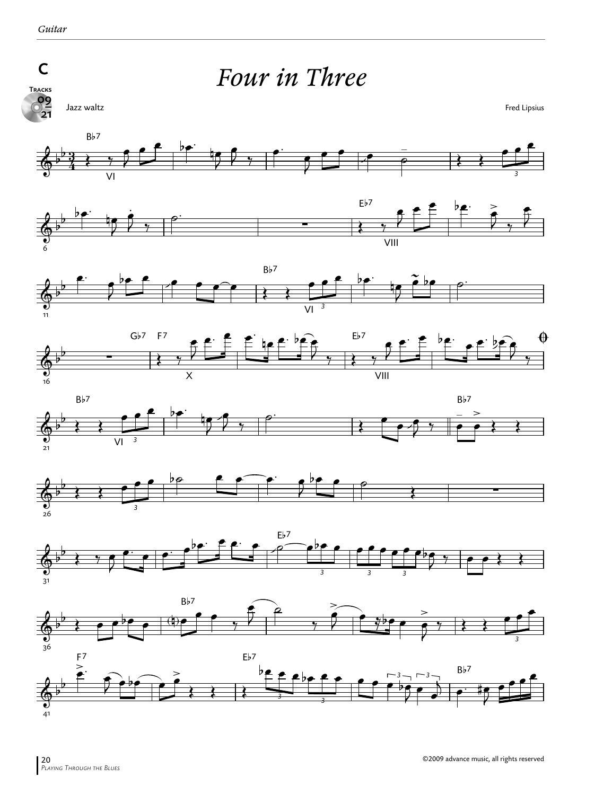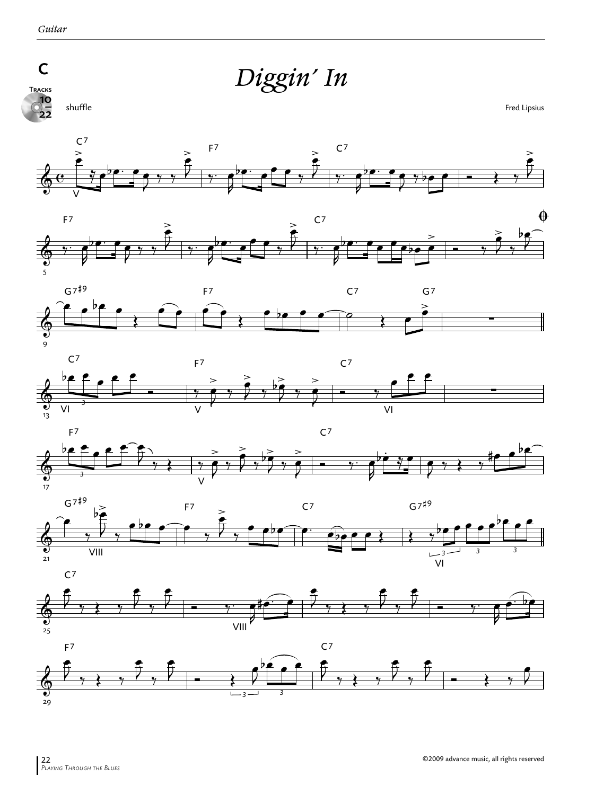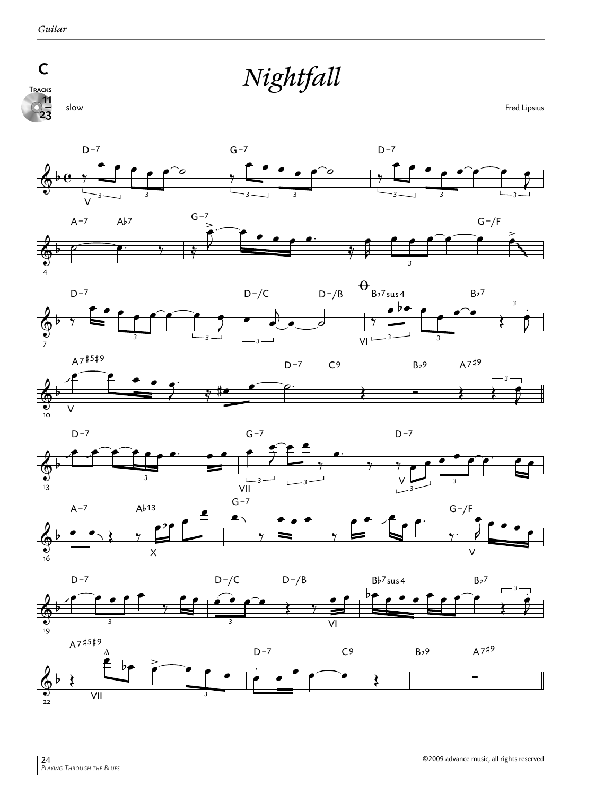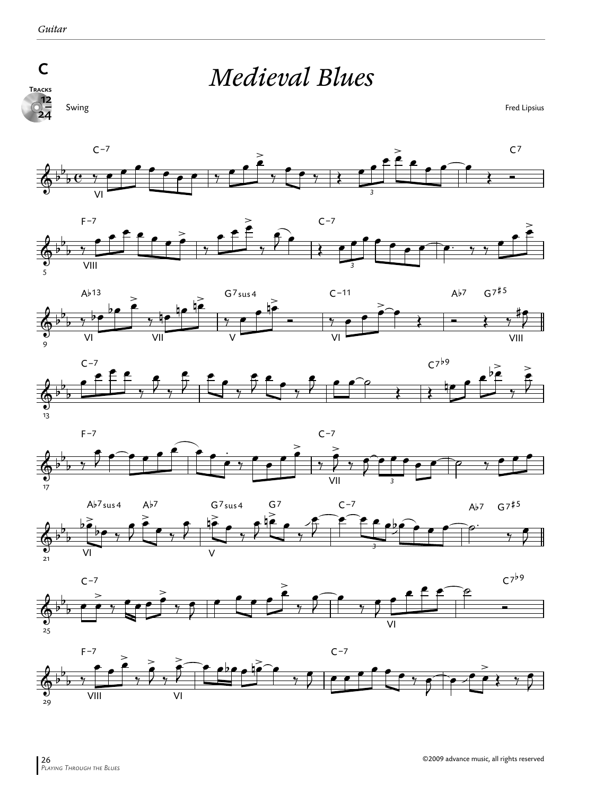

*Medieval Blues*

Swing Fred Lipsius















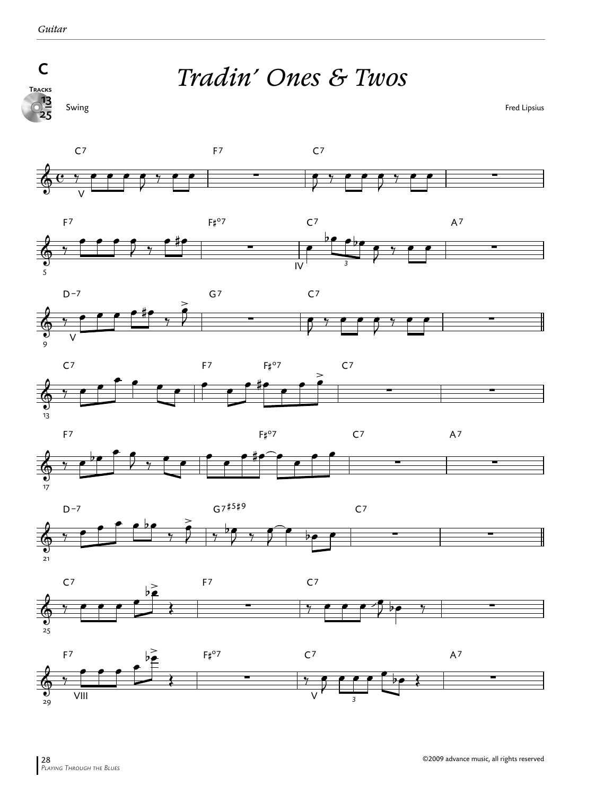

## *Tradin' Ones & Twos*

 $\frac{13}{25}$ 

Swing Fred Lipsius



*3*

ر<br>29